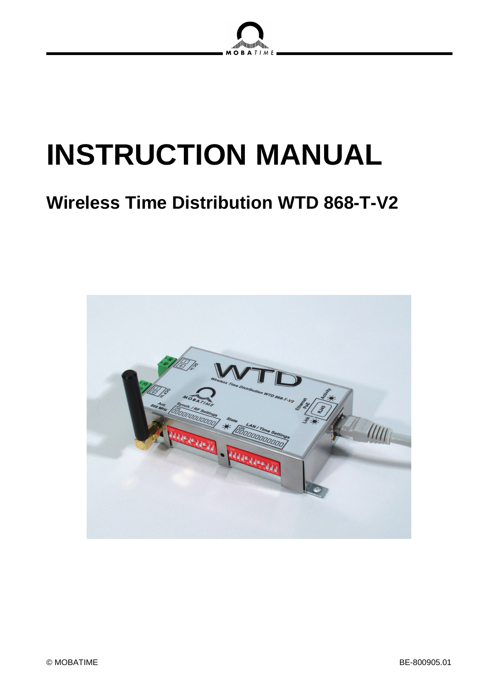

# **INSTRUCTION MANUAL**

# **Wireless Time Distribution WTD 868-T-V2**

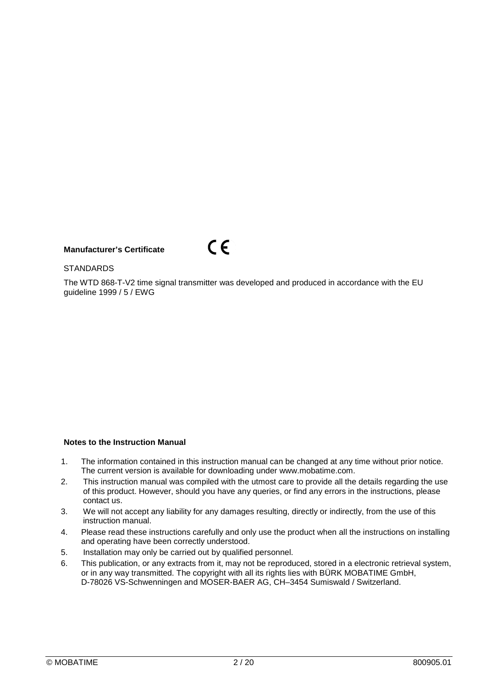## **Manufacturer's Certificate**



#### **STANDARDS**

The WTD 868-T-V2 time signal transmitter was developed and produced in accordance with the EU guideline 1999 / 5 / EWG

#### **Notes to the Instruction Manual**

- 1. The information contained in this instruction manual can be changed at any time without prior notice. The current version is available for downloading under www.mobatime.com.
- 2. This instruction manual was compiled with the utmost care to provide all the details regarding the use of this product. However, should you have any queries, or find any errors in the instructions, please contact us.
- 3. We will not accept any liability for any damages resulting, directly or indirectly, from the use of this instruction manual.
- 4. Please read these instructions carefully and only use the product when all the instructions on installing and operating have been correctly understood.
- 5. Installation may only be carried out by qualified personnel.
- 6. This publication, or any extracts from it, may not be reproduced, stored in a electronic retrieval system, or in any way transmitted. The copyright with all its rights lies with BÜRK MOBATIME GmbH, D-78026 VS-Schwenningen and MOSER-BAER AG, CH–3454 Sumiswald / Switzerland.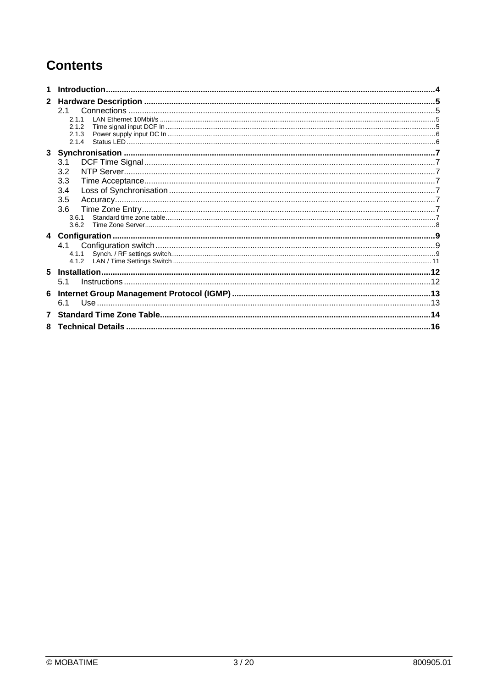## **Contents**

| $\mathbf{2}$ |       |  |
|--------------|-------|--|
|              | 2.1   |  |
|              | 2.1.1 |  |
|              | 2.1.2 |  |
|              | 2.1.3 |  |
|              | 2.1.4 |  |
|              |       |  |
|              | 3.1   |  |
|              | 3.2   |  |
|              | 3.3   |  |
|              | 3.4   |  |
|              | 3.5   |  |
|              | 3.6   |  |
|              | 3.6.1 |  |
|              | 3.6.2 |  |
|              |       |  |
|              | 4.1   |  |
|              |       |  |
|              |       |  |
| 5            |       |  |
|              | 5.1   |  |
|              |       |  |
|              | 6.1   |  |
|              |       |  |
| 7            |       |  |
| 8            |       |  |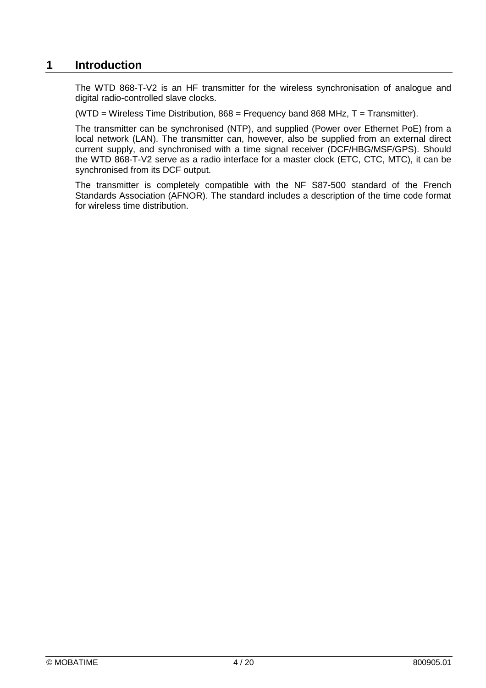## **1 Introduction**

The WTD 868-T-V2 is an HF transmitter for the wireless synchronisation of analogue and digital radio-controlled slave clocks.

(WTD = Wireless Time Distribution,  $868$  = Frequency band  $868$  MHz, T = Transmitter).

The transmitter can be synchronised (NTP), and supplied (Power over Ethernet PoE) from a local network (LAN). The transmitter can, however, also be supplied from an external direct current supply, and synchronised with a time signal receiver (DCF/HBG/MSF/GPS). Should the WTD 868-T-V2 serve as a radio interface for a master clock (ETC, CTC, MTC), it can be synchronised from its DCF output.

The transmitter is completely compatible with the NF S87-500 standard of the French Standards Association (AFNOR). The standard includes a description of the time code format for wireless time distribution.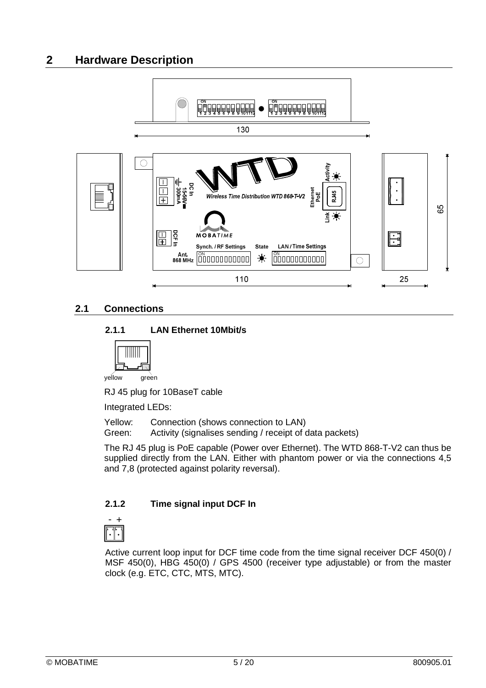## **2 Hardware Description**



## **2.1 Connections**

## **2.1.1 LAN Ethernet 10Mbit/s**



yellow green

RJ 45 plug for 10BaseT cable

Integrated LEDs:

Yellow: Connection (shows connection to LAN)

Green: Activity (signalises sending / receipt of data packets)

The RJ 45 plug is PoE capable (Power over Ethernet). The WTD 868-T-V2 can thus be supplied directly from the LAN. Either with phantom power or via the connections 4,5 and 7,8 (protected against polarity reversal).

## **2.1.2 Time signal input DCF In**



Active current loop input for DCF time code from the time signal receiver DCF 450(0) / MSF 450(0), HBG 450(0) / GPS 4500 (receiver type adjustable) or from the master clock (e.g. ETC, CTC, MTS, MTC).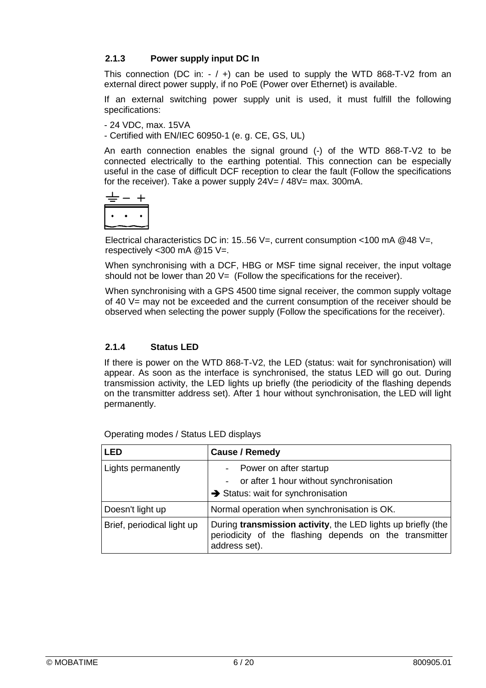## **2.1.3 Power supply input DC In**

This connection (DC in:  $-$  /  $+$ ) can be used to supply the WTD 868-T-V2 from an external direct power supply, if no PoE (Power over Ethernet) is available.

If an external switching power supply unit is used, it must fulfill the following specifications:

- 24 VDC, max. 15VA

- Certified with EN/IEC 60950-1 (e. g. CE, GS, UL)

An earth connection enables the signal ground (-) of the WTD 868-T-V2 to be connected electrically to the earthing potential. This connection can be especially useful in the case of difficult DCF reception to clear the fault (Follow the specifications for the receiver). Take a power supply 24V= / 48V= max. 300mA.

$$
\begin{array}{c}\n\stackrel{\pm}{\leftarrow} - + \\
\hline\n\end{array}
$$

Electrical characteristics DC in: 15..56 V=, current consumption <100 mA  $@48$  V=, respectively <300 mA @15 V=.

When synchronising with a DCF, HBG or MSF time signal receiver, the input voltage should not be lower than 20  $V=$  (Follow the specifications for the receiver).

When synchronising with a GPS 4500 time signal receiver, the common supply voltage of 40 V= may not be exceeded and the current consumption of the receiver should be observed when selecting the power supply (Follow the specifications for the receiver).

## **2.1.4 Status LED**

If there is power on the WTD 868-T-V2, the LED (status: wait for synchronisation) will appear. As soon as the interface is synchronised, the status LED will go out. During transmission activity, the LED lights up briefly (the periodicity of the flashing depends on the transmitter address set). After 1 hour without synchronisation, the LED will light permanently.

| <b>LED</b>                 | <b>Cause / Remedy</b>                                                                                                                   |
|----------------------------|-----------------------------------------------------------------------------------------------------------------------------------------|
| Lights permanently         | Power on after startup<br>- or after 1 hour without synchronisation<br>Status: wait for synchronisation                                 |
| Doesn't light up           | Normal operation when synchronisation is OK.                                                                                            |
| Brief, periodical light up | During transmission activity, the LED lights up briefly (the<br>periodicity of the flashing depends on the transmitter<br>address set). |

Operating modes / Status LED displays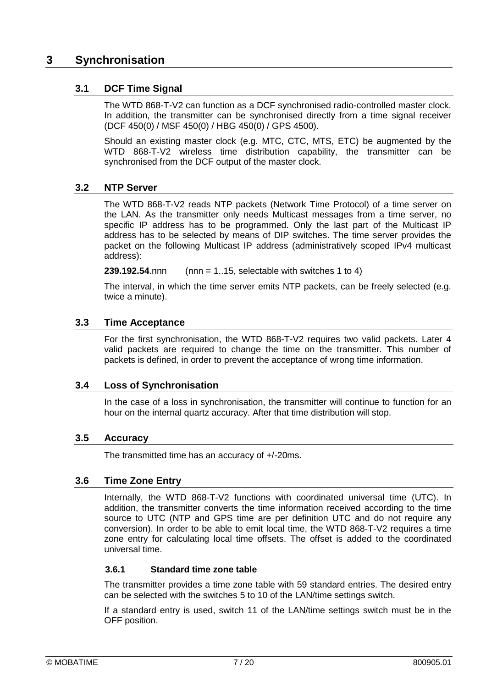## **3 Synchronisation**

## **3.1 DCF Time Signal**

The WTD 868-T-V2 can function as a DCF synchronised radio-controlled master clock. In addition, the transmitter can be synchronised directly from a time signal receiver (DCF 450(0) / MSF 450(0) / HBG 450(0) / GPS 4500).

Should an existing master clock (e.g. MTC, CTC, MTS, ETC) be augmented by the WTD 868-T-V2 wireless time distribution capability, the transmitter can be synchronised from the DCF output of the master clock.

## **3.2 NTP Server**

The WTD 868-T-V2 reads NTP packets (Network Time Protocol) of a time server on the LAN. As the transmitter only needs Multicast messages from a time server, no specific IP address has to be programmed. Only the last part of the Multicast IP address has to be selected by means of DIP switches. The time server provides the packet on the following Multicast IP address (administratively scoped IPv4 multicast address):

**239.192.54**.nnn (nnn = 1..15, selectable with switches 1 to 4)

The interval, in which the time server emits NTP packets, can be freely selected (e.g. twice a minute).

## **3.3 Time Acceptance**

For the first synchronisation, the WTD 868-T-V2 requires two valid packets. Later 4 valid packets are required to change the time on the transmitter. This number of packets is defined, in order to prevent the acceptance of wrong time information.

## **3.4 Loss of Synchronisation**

In the case of a loss in synchronisation, the transmitter will continue to function for an hour on the internal quartz accuracy. After that time distribution will stop.

## **3.5 Accuracy**

The transmitted time has an accuracy of +/-20ms.

## **3.6 Time Zone Entry**

Internally, the WTD 868-T-V2 functions with coordinated universal time (UTC). In addition, the transmitter converts the time information received according to the time source to UTC (NTP and GPS time are per definition UTC and do not require any conversion). In order to be able to emit local time, the WTD 868-T-V2 requires a time zone entry for calculating local time offsets. The offset is added to the coordinated universal time.

## **3.6.1 Standard time zone table**

The transmitter provides a time zone table with 59 standard entries. The desired entry can be selected with the switches 5 to 10 of the LAN/time settings switch.

If a standard entry is used, switch 11 of the LAN/time settings switch must be in the OFF position.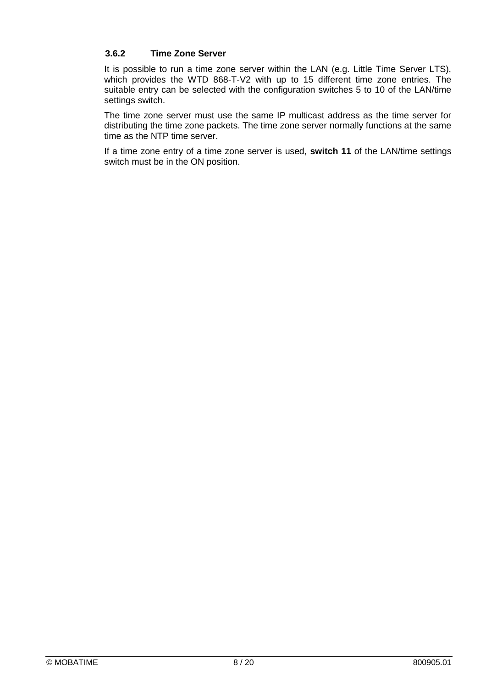## **3.6.2 Time Zone Server**

It is possible to run a time zone server within the LAN (e.g. Little Time Server LTS), which provides the WTD 868-T-V2 with up to 15 different time zone entries. The suitable entry can be selected with the configuration switches 5 to 10 of the LAN/time settings switch.

The time zone server must use the same IP multicast address as the time server for distributing the time zone packets. The time zone server normally functions at the same time as the NTP time server.

If a time zone entry of a time zone server is used, **switch 11** of the LAN/time settings switch must be in the ON position.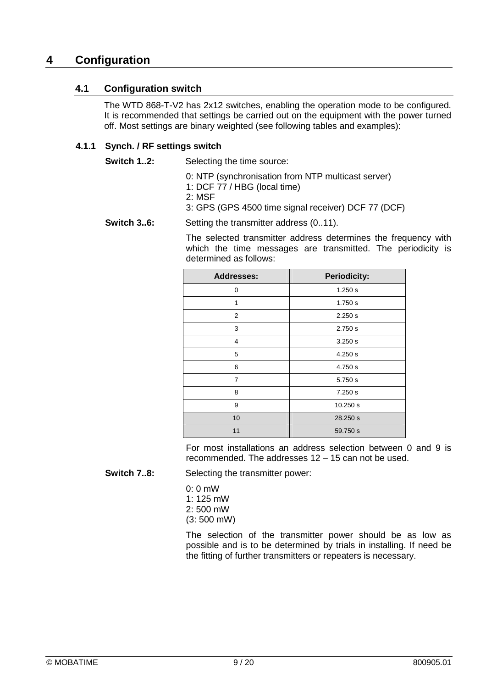## **4 Configuration**

## **4.1 Configuration switch**

The WTD 868-T-V2 has 2x12 switches, enabling the operation mode to be configured. It is recommended that settings be carried out on the equipment with the power turned off. Most settings are binary weighted (see following tables and examples):

## **4.1.1 Synch. / RF settings switch**

**Switch 1..2:** Selecting the time source:

0: NTP (synchronisation from NTP multicast server)

1: DCF 77 / HBG (local time)

2: MSF

3: GPS (GPS 4500 time signal receiver) DCF 77 (DCF)

#### **Switch 3..6:** Setting the transmitter address (0..11).

The selected transmitter address determines the frequency with which the time messages are transmitted. The periodicity is determined as follows:

| <b>Addresses:</b> | <b>Periodicity:</b> |
|-------------------|---------------------|
| 0                 | 1.250 s             |
| 1                 | 1.750 s             |
| $\overline{2}$    | 2.250 s             |
| 3                 | 2.750 s             |
| 4                 | 3.250 s             |
| 5                 | 4.250 s             |
| 6                 | 4.750 s             |
| $\overline{7}$    | 5.750 s             |
| 8                 | 7.250 s             |
| 9                 | 10.250 s            |
| 10                | 28.250 s            |
| 11                | 59.750 s            |

For most installations an address selection between 0 and 9 is recommended. The addresses 12 – 15 can not be used.

**Switch 7..8:** Selecting the transmitter power:

 $0:0$  mW 1: 125 mW 2: 500 mW (3: 500 mW)

The selection of the transmitter power should be as low as possible and is to be determined by trials in installing. If need be the fitting of further transmitters or repeaters is necessary.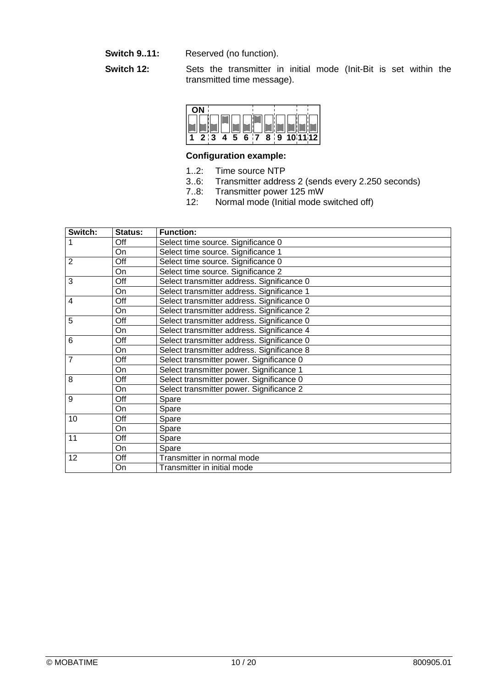- **Switch 9..11:** Reserved (no function).
- **Switch 12:** Sets the transmitter in initial mode (Init-Bit is set within the transmitted time message).

| Е | 2 <sub>1</sub> |
|---|----------------|

## **Configuration example:**

- 1..2: Time source NTP
- 3..6: Transmitter address 2 (sends every 2.250 seconds)
- 7..8: Transmitter power 125 mW
- 12: Normal mode (Initial mode switched off)

| Switch:        | Status: | <b>Function:</b>                           |
|----------------|---------|--------------------------------------------|
|                | Off     | Select time source. Significance 0         |
|                | On      | Select time source. Significance 1         |
| $\overline{2}$ | Off     | Select time source. Significance 0         |
|                | On      | Select time source. Significance 2         |
| 3              | Off     | Select transmitter address. Significance 0 |
|                | On      | Select transmitter address. Significance 1 |
| 4              | Off     | Select transmitter address. Significance 0 |
|                | On      | Select transmitter address. Significance 2 |
| 5              | Off     | Select transmitter address. Significance 0 |
|                | On      | Select transmitter address. Significance 4 |
| 6              | Off     | Select transmitter address. Significance 0 |
|                | On      | Select transmitter address. Significance 8 |
| 7              | Off     | Select transmitter power. Significance 0   |
|                | On      | Select transmitter power. Significance 1   |
| 8              | Off     | Select transmitter power. Significance 0   |
|                | On      | Select transmitter power. Significance 2   |
| 9              | Off     | Spare                                      |
|                | On      | Spare                                      |
| 10             | Off     | Spare                                      |
|                | On      | Spare                                      |
| 11             | Off     | Spare                                      |
|                | On      | Spare                                      |
| 12             | Off     | Transmitter in normal mode                 |
|                | On      | Transmitter in initial mode                |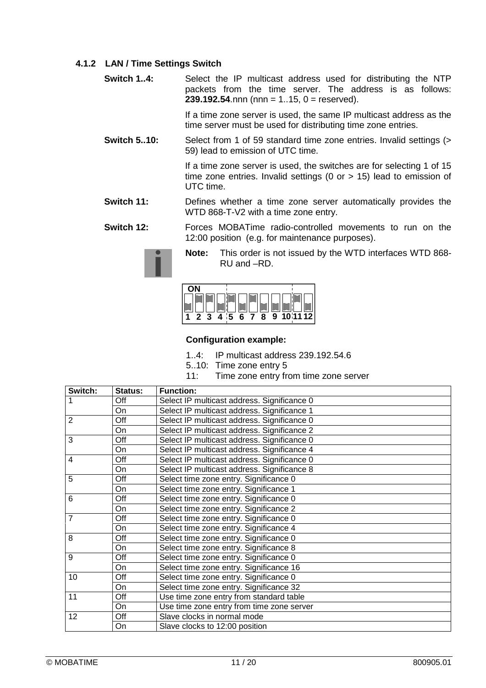## **4.1.2 LAN / Time Settings Switch**

**Switch 1..4:** Select the IP multicast address used for distributing the NTP packets from the time server. The address is as follows:  $239.192.54$ .nnn (nnn = 1..15, 0 = reserved).

> If a time zone server is used, the same IP multicast address as the time server must be used for distributing time zone entries.

**Switch 5..10:** Select from 1 of 59 standard time zone entries. Invalid settings (> 59) lead to emission of UTC time.

> If a time zone server is used, the switches are for selecting 1 of 15 time zone entries. Invalid settings (0 or > 15) lead to emission of UTC time.

- **Switch 11:** Defines whether a time zone server automatically provides the WTD 868-T-V2 with a time zone entry.
- **Switch 12:** Forces MOBATime radio-controlled movements to run on the 12:00 position (e.g. for maintenance purposes).



**Note:** This order is not issued by the WTD interfaces WTD 868- RU and –RD.



## **Configuration example:**

- 1..4: IP multicast address 239.192.54.6
- 5..10: Time zone entry 5
- 11: Time zone entry from time zone server

| Switch:        | Status: | <b>Function:</b>                            |
|----------------|---------|---------------------------------------------|
| 1              | Off     | Select IP multicast address. Significance 0 |
|                | On      | Select IP multicast address. Significance 1 |
| 2              | Off     | Select IP multicast address. Significance 0 |
|                | On      | Select IP multicast address. Significance 2 |
| 3              | Off     | Select IP multicast address. Significance 0 |
|                | On      | Select IP multicast address. Significance 4 |
| $\overline{4}$ | Off     | Select IP multicast address. Significance 0 |
|                | On      | Select IP multicast address. Significance 8 |
| 5              | Off     | Select time zone entry. Significance 0      |
|                | On      | Select time zone entry. Significance 1      |
| 6              | Off     | Select time zone entry. Significance 0      |
|                | On      | Select time zone entry. Significance 2      |
| 7              | Off     | Select time zone entry. Significance 0      |
|                | On      | Select time zone entry. Significance 4      |
| 8              | Off     | Select time zone entry. Significance 0      |
|                | On      | Select time zone entry. Significance 8      |
| 9              | Off     | Select time zone entry. Significance 0      |
|                | On      | Select time zone entry. Significance 16     |
| 10             | Off     | Select time zone entry. Significance 0      |
|                | On      | Select time zone entry. Significance 32     |
| 11             | Off     | Use time zone entry from standard table     |
|                | On      | Use time zone entry from time zone server   |
| 12             | Off     | Slave clocks in normal mode                 |
|                | On      | Slave clocks to 12:00 position              |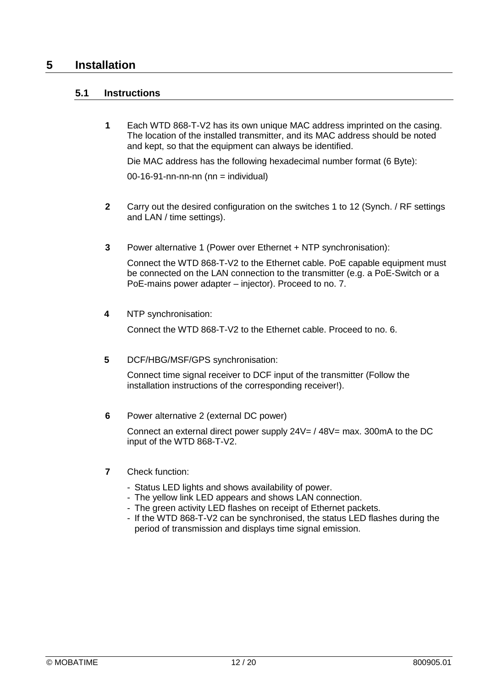## **5 Installation**

## **5.1 Instructions**

**1** Each WTD 868-T-V2 has its own unique MAC address imprinted on the casing. The location of the installed transmitter, and its MAC address should be noted and kept, so that the equipment can always be identified.

Die MAC address has the following hexadecimal number format (6 Byte):

 $00-16-91$ -nn-nn-nn (nn = individual)

- **2** Carry out the desired configuration on the switches 1 to 12 (Synch. / RF settings and LAN / time settings).
- **3** Power alternative 1 (Power over Ethernet + NTP synchronisation):

Connect the WTD 868-T-V2 to the Ethernet cable. PoE capable equipment must be connected on the LAN connection to the transmitter (e.g. a PoE-Switch or a PoE-mains power adapter – injector). Proceed to no. 7.

**4** NTP synchronisation:

Connect the WTD 868-T-V2 to the Ethernet cable. Proceed to no. 6.

**5** DCF/HBG/MSF/GPS synchronisation:

Connect time signal receiver to DCF input of the transmitter (Follow the installation instructions of the corresponding receiver!).

**6** Power alternative 2 (external DC power)

Connect an external direct power supply  $24V = / 48V =$  max. 300mA to the DC input of the WTD 868-T-V2.

- **7** Check function:
	- Status LED lights and shows availability of power.
	- The yellow link LED appears and shows LAN connection.
	- The green activity LED flashes on receipt of Ethernet packets.
	- If the WTD 868-T-V2 can be synchronised, the status LED flashes during the period of transmission and displays time signal emission.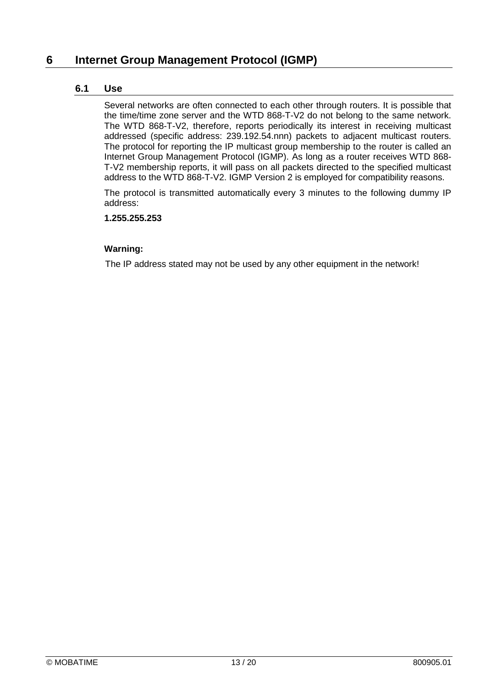## **6 Internet Group Management Protocol (IGMP)**

## **6.1 Use**

Several networks are often connected to each other through routers. It is possible that the time/time zone server and the WTD 868-T-V2 do not belong to the same network. The WTD 868-T-V2, therefore, reports periodically its interest in receiving multicast addressed (specific address: 239.192.54.nnn) packets to adjacent multicast routers. The protocol for reporting the IP multicast group membership to the router is called an Internet Group Management Protocol (IGMP). As long as a router receives WTD 868- T-V2 membership reports, it will pass on all packets directed to the specified multicast address to the WTD 868-T-V2. IGMP Version 2 is employed for compatibility reasons.

The protocol is transmitted automatically every 3 minutes to the following dummy IP address:

### **1.255.255.253**

## **Warning:**

The IP address stated may not be used by any other equipment in the network!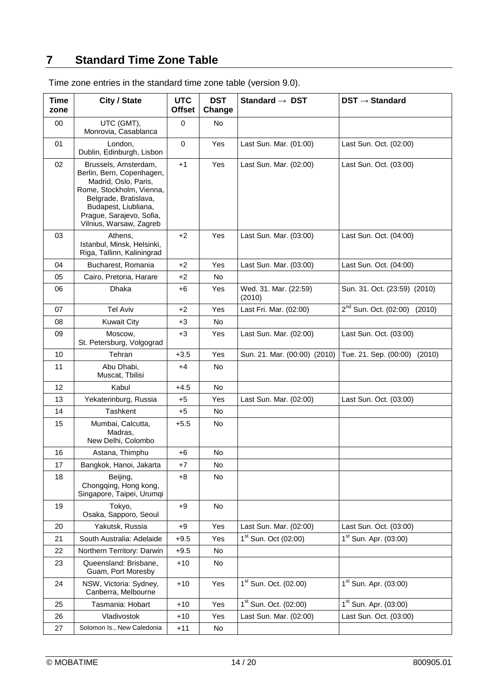## **7 Standard Time Zone Table**

| Time<br>zone | City / State                                                                                                                                                                                                  | <b>UTC</b><br><b>Offset</b> | <b>DST</b><br>Change | Standard $\rightarrow$ DST        | $DST \rightarrow Standard$           |
|--------------|---------------------------------------------------------------------------------------------------------------------------------------------------------------------------------------------------------------|-----------------------------|----------------------|-----------------------------------|--------------------------------------|
| 00           | UTC (GMT),<br>Monrovia, Casablanca                                                                                                                                                                            | $\mathbf 0$                 | No.                  |                                   |                                      |
| 01           | London,<br>Dublin, Edinburgh, Lisbon                                                                                                                                                                          | $\mathbf 0$                 | Yes                  | Last Sun. Mar. (01:00)            | Last Sun. Oct. (02:00)               |
| 02           | Brussels, Amsterdam,<br>Berlin, Bern, Copenhagen,<br>Madrid, Oslo, Paris,<br>Rome, Stockholm, Vienna,<br>Belgrade, Bratislava,<br>Budapest, Liubliana,<br>Prague, Sarajevo, Sofia,<br>Vilnius, Warsaw, Zagreb | $+1$                        | Yes                  | Last Sun. Mar. (02:00)            | Last Sun. Oct. (03:00)               |
| 03           | Athens,<br>Istanbul, Minsk, Helsinki,<br>Riga, Tallinn, Kaliningrad                                                                                                                                           | $+2$                        | Yes                  | Last Sun. Mar. (03:00)            | Last Sun. Oct. (04:00)               |
| 04           | Bucharest, Romania                                                                                                                                                                                            | $+2$                        | Yes                  | Last Sun. Mar. (03:00)            | Last Sun. Oct. (04:00)               |
| 05           | Cairo, Pretoria, Harare                                                                                                                                                                                       | $+2$                        | No                   |                                   |                                      |
| 06           | <b>Dhaka</b>                                                                                                                                                                                                  | $+6$                        | Yes                  | Wed. 31. Mar. (22:59)<br>(2010)   | Sun. 31. Oct. (23:59) (2010)         |
| 07           | <b>Tel Aviv</b>                                                                                                                                                                                               | $+2$                        | Yes                  | Last Fri. Mar. (02:00)            | $2^{nd}$ Sun. Oct. (02:00)<br>(2010) |
| 08           | <b>Kuwait City</b>                                                                                                                                                                                            | $+3$                        | <b>No</b>            |                                   |                                      |
| 09           | Moscow,<br>St. Petersburg, Volgograd                                                                                                                                                                          | $+3$                        | Yes                  | Last Sun. Mar. (02:00)            | Last Sun. Oct. (03:00)               |
| 10           | Tehran                                                                                                                                                                                                        | $+3.5$                      | Yes                  | Sun. 21. Mar. (00:00) (2010)      | Tue. 21. Sep. (00:00)<br>(2010)      |
| 11           | Abu Dhabi,<br>Muscat, Tbilisi                                                                                                                                                                                 | +4                          | No.                  |                                   |                                      |
| 12           | Kabul                                                                                                                                                                                                         | $+4.5$                      | <b>No</b>            |                                   |                                      |
| 13           | Yekaterinburg, Russia                                                                                                                                                                                         | $+5$                        | Yes                  | Last Sun. Mar. (02:00)            | Last Sun. Oct. (03:00)               |
| 14           | <b>Tashkent</b>                                                                                                                                                                                               | $+5$                        | No.                  |                                   |                                      |
| 15           | Mumbai, Calcutta,<br>Madras,<br>New Delhi, Colombo                                                                                                                                                            | $+5.5$                      | No                   |                                   |                                      |
| 16           | Astana, Thimphu                                                                                                                                                                                               | +6                          | No                   |                                   |                                      |
| 17           | Bangkok, Hanoi, Jakarta                                                                                                                                                                                       | $+7$                        | No.                  |                                   |                                      |
| 18           | Beijing,<br>Chongqing, Hong kong,<br>Singapore, Taipei, Urumqi                                                                                                                                                | $+8$                        | No                   |                                   |                                      |
| 19           | Tokyo,<br>Osaka, Sapporo, Seoul                                                                                                                                                                               | +9                          | No                   |                                   |                                      |
| 20           | Yakutsk, Russia                                                                                                                                                                                               | $+9$                        | Yes                  | Last Sun. Mar. (02:00)            | Last Sun. Oct. (03:00)               |
| 21           | South Australia: Adelaide                                                                                                                                                                                     | $+9.5$                      | Yes                  | $1st$ Sun. Oct (02:00)            | $1st$ Sun. Apr. (03:00)              |
| 22           | Northern Territory: Darwin                                                                                                                                                                                    | $+9.5$                      | No.                  |                                   |                                      |
| 23           | Queensland: Brisbane,<br>Guam, Port Moresby                                                                                                                                                                   | $+10$                       | No                   |                                   |                                      |
| 24           | NSW, Victoria: Sydney,<br>Canberra, Melbourne                                                                                                                                                                 | $+10$                       | Yes                  | $1st$ Sun. Oct. (02.00)           | $1st$ Sun. Apr. (03:00)              |
| 25           | Tasmania: Hobart                                                                                                                                                                                              | $+10$                       | Yes                  | 1 <sup>st</sup> Sun. Oct. (02:00) | 1 <sup>st</sup> Sun. Apr. (03:00)    |
| 26           | Vladivostok                                                                                                                                                                                                   | $+10$                       | Yes                  | Last Sun. Mar. (02:00)            | Last Sun. Oct. (03:00)               |
| 27           | Solomon Is., New Caledonia                                                                                                                                                                                    | $+11$                       | No                   |                                   |                                      |

Time zone entries in the standard time zone table (version 9.0).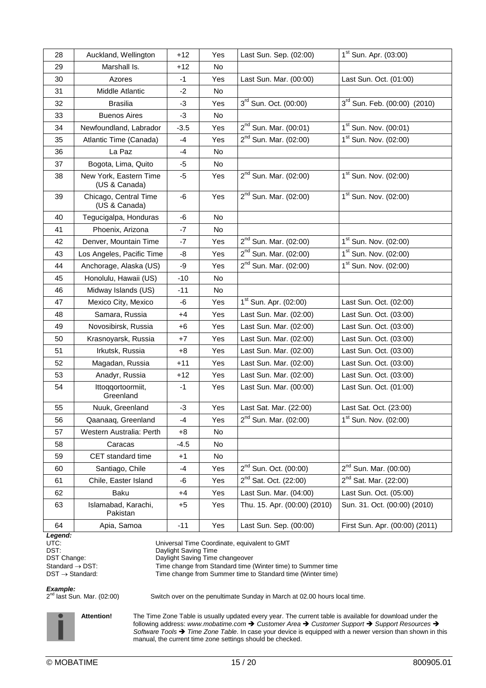| 28 | Auckland, Wellington                    | $+12$  | Yes | Last Sun. Sep. (02:00)       | $1st$ Sun. Apr. (03:00)        |
|----|-----------------------------------------|--------|-----|------------------------------|--------------------------------|
| 29 | Marshall Is.                            | $+12$  | No. |                              |                                |
| 30 | Azores                                  | $-1$   | Yes | Last Sun. Mar. (00:00)       | Last Sun. Oct. (01:00)         |
| 31 | Middle Atlantic                         | $-2$   | No  |                              |                                |
| 32 | <b>Brasilia</b>                         | -3     | Yes | 3rd Sun. Oct. (00:00)        | 3rd Sun. Feb. (00:00) (2010)   |
| 33 | <b>Buenos Aires</b>                     | $-3$   | No  |                              |                                |
| 34 | Newfoundland, Labrador                  | $-3.5$ | Yes | $2^{nd}$ Sun. Mar. (00:01)   | $1st$ Sun. Nov. (00:01)        |
| 35 | Atlantic Time (Canada)                  | $-4$   | Yes | $2^{nd}$ Sun. Mar. (02:00)   | $1st$ Sun. Nov. (02:00)        |
| 36 | La Paz                                  | -4     | No. |                              |                                |
| 37 | Bogota, Lima, Quito                     | -5     | No  |                              |                                |
| 38 | New York, Eastern Time<br>(US & Canada) | -5     | Yes | $2^{nd}$ Sun. Mar. (02:00)   | $1st$ Sun. Nov. (02:00)        |
| 39 | Chicago, Central Time<br>(US & Canada)  | -6     | Yes | $2^{nd}$ Sun. Mar. (02:00)   | $1st$ Sun. Nov. (02:00)        |
| 40 | Tegucigalpa, Honduras                   | -6     | No. |                              |                                |
| 41 | Phoenix, Arizona                        | -7     | No. |                              |                                |
| 42 | Denver, Mountain Time                   | $-7$   | Yes | $2^{nd}$ Sun. Mar. (02:00)   | $1st$ Sun. Nov. (02:00)        |
| 43 | Los Angeles, Pacific Time               | -8     | Yes | $2^{nd}$ Sun. Mar. (02:00)   | $1st$ Sun. Nov. (02:00)        |
| 44 | Anchorage, Alaska (US)                  | -9     | Yes | $2^{nd}$ Sun. Mar. (02:00)   | $1st$ Sun. Nov. (02:00)        |
| 45 | Honolulu, Hawaii (US)                   | $-10$  | No. |                              |                                |
| 46 | Midway Islands (US)                     | $-11$  | No  |                              |                                |
| 47 | Mexico City, Mexico                     | -6     | Yes | $1st$ Sun. Apr. (02:00)      | Last Sun. Oct. (02:00)         |
| 48 | Samara, Russia                          | $+4$   | Yes | Last Sun. Mar. (02:00)       | Last Sun. Oct. (03:00)         |
| 49 | Novosibirsk, Russia                     | $+6$   | Yes | Last Sun. Mar. (02:00)       | Last Sun. Oct. (03:00)         |
| 50 | Krasnoyarsk, Russia                     | $+7$   | Yes | Last Sun. Mar. (02:00)       | Last Sun. Oct. (03:00)         |
| 51 | Irkutsk, Russia                         | $+8$   | Yes | Last Sun. Mar. (02:00)       | Last Sun. Oct. (03:00)         |
| 52 | Magadan, Russia                         | $+11$  | Yes | Last Sun. Mar. (02:00)       | Last Sun. Oct. (03:00)         |
| 53 | Anadyr, Russia                          | $+12$  | Yes | Last Sun. Mar. (02:00)       | Last Sun. Oct. (03:00)         |
| 54 | Ittoqqortoormiit,<br>Greenland          | $-1$   | Yes | Last Sun. Mar. (00:00)       | Last Sun. Oct. (01:00)         |
| 55 | Nuuk, Greenland                         | -3     | Yes | Last Sat. Mar. (22:00)       | Last Sat. Oct. (23:00)         |
| 56 | Qaanaaq, Greenland                      | -4     | Yes | $2^{nd}$ Sun. Mar. (02:00)   | $1st$ Sun. Nov. (02:00)        |
| 57 | Western Australia: Perth                | $+8$   | No  |                              |                                |
| 58 | Caracas                                 | $-4.5$ | No  |                              |                                |
| 59 | CET standard time                       | $+1$   | No  |                              |                                |
| 60 | Santiago, Chile                         | -4     | Yes | $2^{nd}$ Sun. Oct. (00:00)   | $2^{nd}$ Sun. Mar. (00:00)     |
| 61 | Chile, Easter Island                    | -6     | Yes | $2^{nd}$ Sat. Oct. (22:00)   | $2^{nd}$ Sat. Mar. (22:00)     |
| 62 | Baku                                    | $+4$   | Yes | Last Sun. Mar. (04:00)       | Last Sun. Oct. (05:00)         |
| 63 | Islamabad, Karachi,<br>Pakistan         | $+5$   | Yes | Thu. 15. Apr. (00:00) (2010) | Sun. 31. Oct. (00:00) (2010)   |
| 64 | Apia, Samoa                             | $-11$  | Yes | Last Sun. Sep. (00:00)       | First Sun. Apr. (00:00) (2011) |

*Legend:*

DST: Daylight Saving Time

UTC: Universal Time Coordinate, equivalent to GMT

DST Change: DST Changeover

Standard → DST: Time change from Standard time (Winter time) to Summer time<br>DST → Standard: Time change from Summer time to Standard time (Winter time)

Time change from Summer time to Standard time (Winter time)

*Example:*

 $2<sup>nd</sup>$  last Sun. Mar. (02:00)

Switch over on the penultimate Sunday in March at 02.00 hours local time.

**Attention!** The Time Zone Table is usually updated every year. The current table is available for download under the following address: *www.mobatime.com Customer Area Customer Support Support Resources Software Tools Time Zone Table*. In case your device is equipped with a newer version than shown in this manual, the current time zone settings should be checked.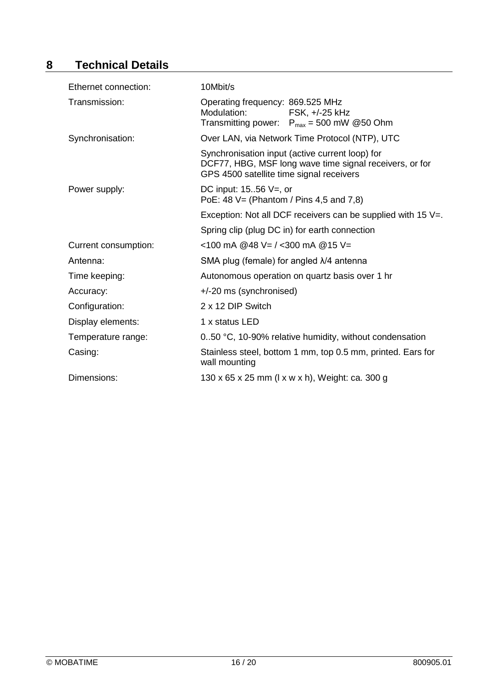## **8 Technical Details**

| Ethernet connection: | 10Mbit/s                                                                                                                                               |  |  |
|----------------------|--------------------------------------------------------------------------------------------------------------------------------------------------------|--|--|
| Transmission:        | Operating frequency: 869.525 MHz<br>Modulation:<br>FSK, +/-25 kHz<br>Transmitting power: $P_{max} = 500$ mW @50 Ohm                                    |  |  |
| Synchronisation:     | Over LAN, via Network Time Protocol (NTP), UTC                                                                                                         |  |  |
|                      | Synchronisation input (active current loop) for<br>DCF77, HBG, MSF long wave time signal receivers, or for<br>GPS 4500 satellite time signal receivers |  |  |
| Power supply:        | DC input: $1556$ V=, or<br>PoE: $48 \text{ V} = (Phantom / Pins 4.5 and 7.8)$                                                                          |  |  |
|                      | Exception: Not all DCF receivers can be supplied with 15 $V =$ .                                                                                       |  |  |
|                      | Spring clip (plug DC in) for earth connection                                                                                                          |  |  |
| Current consumption: | <100 mA @48 V= / <300 mA @15 V=                                                                                                                        |  |  |
| Antenna:             | SMA plug (female) for angled $\lambda$ /4 antenna                                                                                                      |  |  |
| Time keeping:        | Autonomous operation on quartz basis over 1 hr                                                                                                         |  |  |
| Accuracy:            | +/-20 ms (synchronised)                                                                                                                                |  |  |
| Configuration:       | 2 x 12 DIP Switch                                                                                                                                      |  |  |
| Display elements:    | 1 x status LED                                                                                                                                         |  |  |
| Temperature range:   | 0.50 °C, 10-90% relative humidity, without condensation                                                                                                |  |  |
| Casing:              | Stainless steel, bottom 1 mm, top 0.5 mm, printed. Ears for<br>wall mounting                                                                           |  |  |
| Dimensions:          | 130 x 65 x 25 mm (1 x w x h), Weight: ca. 300 g                                                                                                        |  |  |